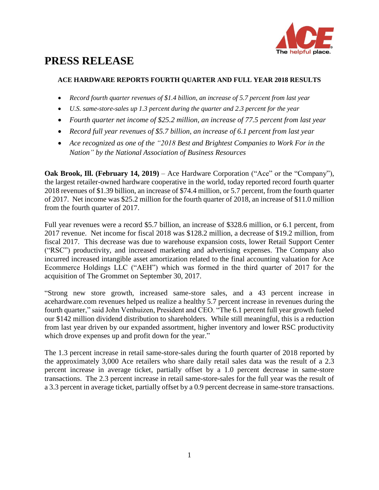

# **PRESS RELEASE**

# **ACE HARDWARE REPORTS FOURTH QUARTER AND FULL YEAR 2018 RESULTS**

- *Record fourth quarter revenues of \$1.4 billion, an increase of 5.7 percent from last year*
- *U.S. same-store-sales up 1.3 percent during the quarter and 2.3 percent for the year*
- *Fourth quarter net income of \$25.2 million, an increase of 77.5 percent from last year*
- *Record full year revenues of \$5.7 billion, an increase of 6.1 percent from last year*
- *Ace recognized as one of the "2018 Best and Brightest Companies to Work For in the Nation" by the National Association of Business Resources*

**Oak Brook, Ill. (February 14, 2019)** – Ace Hardware Corporation ("Ace" or the "Company"), the largest retailer-owned hardware cooperative in the world, today reported record fourth quarter 2018 revenues of \$1.39 billion, an increase of \$74.4 million, or 5.7 percent, from the fourth quarter of 2017. Net income was \$25.2 million for the fourth quarter of 2018, an increase of \$11.0 million from the fourth quarter of 2017.

Full year revenues were a record \$5.7 billion, an increase of \$328.6 million, or 6.1 percent, from 2017 revenue. Net income for fiscal 2018 was \$128.2 million, a decrease of \$19.2 million, from fiscal 2017. This decrease was due to warehouse expansion costs, lower Retail Support Center ("RSC") productivity, and increased marketing and advertising expenses. The Company also incurred increased intangible asset amortization related to the final accounting valuation for Ace Ecommerce Holdings LLC ("AEH") which was formed in the third quarter of 2017 for the acquisition of The Grommet on September 30, 2017.

"Strong new store growth, increased same-store sales, and a 43 percent increase in acehardware.com revenues helped us realize a healthy 5.7 percent increase in revenues during the fourth quarter," said John Venhuizen, President and CEO. "The 6.1 percent full year growth fueled our \$142 million dividend distribution to shareholders. While still meaningful, this is a reduction from last year driven by our expanded assortment, higher inventory and lower RSC productivity which drove expenses up and profit down for the year."

The 1.3 percent increase in retail same-store-sales during the fourth quarter of 2018 reported by the approximately 3,000 Ace retailers who share daily retail sales data was the result of a 2.3 percent increase in average ticket, partially offset by a 1.0 percent decrease in same-store transactions. The 2.3 percent increase in retail same-store-sales for the full year was the result of a 3.3 percent in average ticket, partially offset by a 0.9 percent decrease in same-store transactions.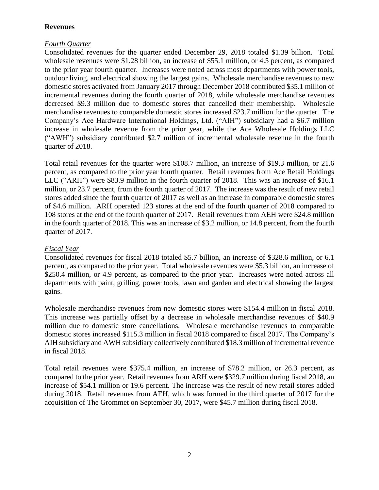# **Revenues**

# *Fourth Quarter*

Consolidated revenues for the quarter ended December 29, 2018 totaled \$1.39 billion. Total wholesale revenues were \$1.28 billion, an increase of \$55.1 million, or 4.5 percent, as compared to the prior year fourth quarter. Increases were noted across most departments with power tools, outdoor living, and electrical showing the largest gains. Wholesale merchandise revenues to new domestic stores activated from January 2017 through December 2018 contributed \$35.1 million of incremental revenues during the fourth quarter of 2018, while wholesale merchandise revenues decreased \$9.3 million due to domestic stores that cancelled their membership. Wholesale merchandise revenues to comparable domestic stores increased \$23.7 million for the quarter. The Company's Ace Hardware International Holdings, Ltd. ("AIH") subsidiary had a \$6.7 million increase in wholesale revenue from the prior year, while the Ace Wholesale Holdings LLC ("AWH") subsidiary contributed \$2.7 million of incremental wholesale revenue in the fourth quarter of 2018.

Total retail revenues for the quarter were \$108.7 million, an increase of \$19.3 million, or 21.6 percent, as compared to the prior year fourth quarter. Retail revenues from Ace Retail Holdings LLC ("ARH") were \$83.9 million in the fourth quarter of 2018. This was an increase of \$16.1 million, or 23.7 percent, from the fourth quarter of 2017. The increase was the result of new retail stores added since the fourth quarter of 2017 as well as an increase in comparable domestic stores of \$4.6 million. ARH operated 123 stores at the end of the fourth quarter of 2018 compared to 108 stores at the end of the fourth quarter of 2017. Retail revenues from AEH were \$24.8 million in the fourth quarter of 2018. This was an increase of \$3.2 million, or 14.8 percent, from the fourth quarter of 2017.

# *Fiscal Year*

Consolidated revenues for fiscal 2018 totaled \$5.7 billion, an increase of \$328.6 million, or 6.1 percent, as compared to the prior year. Total wholesale revenues were \$5.3 billion, an increase of \$250.4 million, or 4.9 percent, as compared to the prior year. Increases were noted across all departments with paint, grilling, power tools, lawn and garden and electrical showing the largest gains.

Wholesale merchandise revenues from new domestic stores were \$154.4 million in fiscal 2018. This increase was partially offset by a decrease in wholesale merchandise revenues of \$40.9 million due to domestic store cancellations. Wholesale merchandise revenues to comparable domestic stores increased \$115.3 million in fiscal 2018 compared to fiscal 2017. The Company's AIH subsidiary and AWH subsidiary collectively contributed \$18.3 million of incremental revenue in fiscal 2018.

Total retail revenues were \$375.4 million, an increase of \$78.2 million, or 26.3 percent, as compared to the prior year. Retail revenues from ARH were \$329.7 million during fiscal 2018, an increase of \$54.1 million or 19.6 percent. The increase was the result of new retail stores added during 2018. Retail revenues from AEH, which was formed in the third quarter of 2017 for the acquisition of The Grommet on September 30, 2017, were \$45.7 million during fiscal 2018.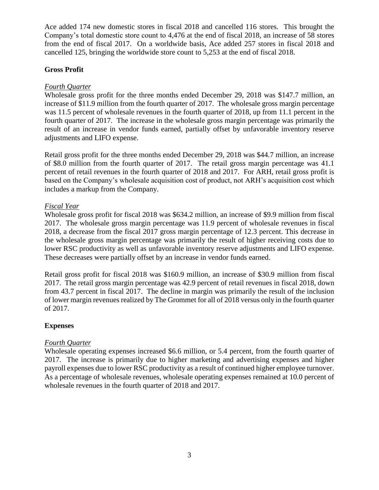Ace added 174 new domestic stores in fiscal 2018 and cancelled 116 stores. This brought the Company's total domestic store count to 4,476 at the end of fiscal 2018, an increase of 58 stores from the end of fiscal 2017. On a worldwide basis, Ace added 257 stores in fiscal 2018 and cancelled 125, bringing the worldwide store count to 5,253 at the end of fiscal 2018.

# **Gross Profit**

# *Fourth Quarter*

Wholesale gross profit for the three months ended December 29, 2018 was \$147.7 million, an increase of \$11.9 million from the fourth quarter of 2017. The wholesale gross margin percentage was 11.5 percent of wholesale revenues in the fourth quarter of 2018, up from 11.1 percent in the fourth quarter of 2017. The increase in the wholesale gross margin percentage was primarily the result of an increase in vendor funds earned, partially offset by unfavorable inventory reserve adjustments and LIFO expense.

Retail gross profit for the three months ended December 29, 2018 was \$44.7 million, an increase of \$8.0 million from the fourth quarter of 2017. The retail gross margin percentage was 41.1 percent of retail revenues in the fourth quarter of 2018 and 2017. For ARH, retail gross profit is based on the Company's wholesale acquisition cost of product, not ARH's acquisition cost which includes a markup from the Company.

# *Fiscal Year*

Wholesale gross profit for fiscal 2018 was \$634.2 million, an increase of \$9.9 million from fiscal 2017. The wholesale gross margin percentage was 11.9 percent of wholesale revenues in fiscal 2018, a decrease from the fiscal 2017 gross margin percentage of 12.3 percent. This decrease in the wholesale gross margin percentage was primarily the result of higher receiving costs due to lower RSC productivity as well as unfavorable inventory reserve adjustments and LIFO expense. These decreases were partially offset by an increase in vendor funds earned.

Retail gross profit for fiscal 2018 was \$160.9 million, an increase of \$30.9 million from fiscal 2017. The retail gross margin percentage was 42.9 percent of retail revenues in fiscal 2018, down from 43.7 percent in fiscal 2017. The decline in margin was primarily the result of the inclusion of lower margin revenues realized by The Grommet for all of 2018 versus only in the fourth quarter of 2017.

## **Expenses**

## *Fourth Quarter*

Wholesale operating expenses increased \$6.6 million, or 5.4 percent, from the fourth quarter of 2017. The increase is primarily due to higher marketing and advertising expenses and higher payroll expenses due to lower RSC productivity as a result of continued higher employee turnover. As a percentage of wholesale revenues, wholesale operating expenses remained at 10.0 percent of wholesale revenues in the fourth quarter of 2018 and 2017.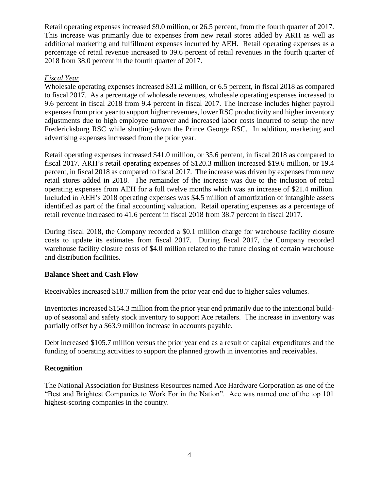Retail operating expenses increased \$9.0 million, or 26.5 percent, from the fourth quarter of 2017. This increase was primarily due to expenses from new retail stores added by ARH as well as additional marketing and fulfillment expenses incurred by AEH. Retail operating expenses as a percentage of retail revenue increased to 39.6 percent of retail revenues in the fourth quarter of 2018 from 38.0 percent in the fourth quarter of 2017.

# *Fiscal Year*

Wholesale operating expenses increased \$31.2 million, or 6.5 percent, in fiscal 2018 as compared to fiscal 2017. As a percentage of wholesale revenues, wholesale operating expenses increased to 9.6 percent in fiscal 2018 from 9.4 percent in fiscal 2017. The increase includes higher payroll expenses from prior year to support higher revenues, lower RSC productivity and higher inventory adjustments due to high employee turnover and increased labor costs incurred to setup the new Fredericksburg RSC while shutting-down the Prince George RSC. In addition, marketing and advertising expenses increased from the prior year.

Retail operating expenses increased \$41.0 million, or 35.6 percent, in fiscal 2018 as compared to fiscal 2017. ARH's retail operating expenses of \$120.3 million increased \$19.6 million, or 19.4 percent, in fiscal 2018 as compared to fiscal 2017. The increase was driven by expenses from new retail stores added in 2018. The remainder of the increase was due to the inclusion of retail operating expenses from AEH for a full twelve months which was an increase of \$21.4 million. Included in AEH's 2018 operating expenses was \$4.5 million of amortization of intangible assets identified as part of the final accounting valuation. Retail operating expenses as a percentage of retail revenue increased to 41.6 percent in fiscal 2018 from 38.7 percent in fiscal 2017.

During fiscal 2018, the Company recorded a \$0.1 million charge for warehouse facility closure costs to update its estimates from fiscal 2017. During fiscal 2017, the Company recorded warehouse facility closure costs of \$4.0 million related to the future closing of certain warehouse and distribution facilities.

## **Balance Sheet and Cash Flow**

Receivables increased \$18.7 million from the prior year end due to higher sales volumes.

Inventories increased \$154.3 million from the prior year end primarily due to the intentional buildup of seasonal and safety stock inventory to support Ace retailers. The increase in inventory was partially offset by a \$63.9 million increase in accounts payable.

Debt increased \$105.7 million versus the prior year end as a result of capital expenditures and the funding of operating activities to support the planned growth in inventories and receivables.

## **Recognition**

The National Association for Business Resources named Ace Hardware Corporation as one of the "Best and Brightest Companies to Work For in the Nation". Ace was named one of the top 101 highest-scoring companies in the country.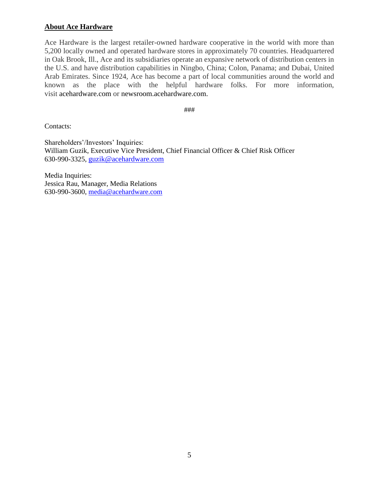# **About Ace Hardware**

Ace Hardware is the largest retailer-owned hardware cooperative in the world with more than 5,200 locally owned and operated hardware stores in approximately 70 countries. Headquartered in Oak Brook, Ill., Ace and its subsidiaries operate an expansive network of distribution centers in the U.S. and have distribution capabilities in Ningbo, China; Colon, Panama; and Dubai, United Arab Emirates. Since 1924, Ace has become a part of local communities around the world and known as the place with the helpful hardware folks. For more information, visit acehardware.com or newsroom.acehardware.com.

###

Contacts:

Shareholders'/Investors' Inquiries: William Guzik, Executive Vice President, Chief Financial Officer & Chief Risk Officer 630-990-3325, guzik@acehardware.com

Media Inquiries: Jessica Rau, Manager, Media Relations 630-990-3600, media@acehardware.com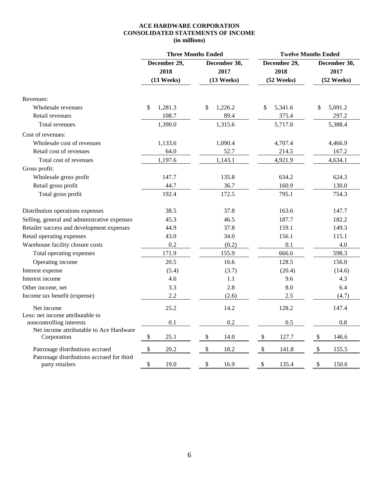#### **ACE HARDWARE CORPORATION CONSOLIDATED STATEMENTS OF INCOME (in millions)**

|                                                              | <b>Three Months Ended</b>          |                                         | <b>Twelve Months Ended</b>         |                                    |  |
|--------------------------------------------------------------|------------------------------------|-----------------------------------------|------------------------------------|------------------------------------|--|
|                                                              | December 29,<br>2018<br>(13 Weeks) | December 30,<br>2017<br>$(13$ Weeks $)$ | December 29,<br>2018<br>(52 Weeks) | December 30,<br>2017<br>(52 Weeks) |  |
| Revenues:                                                    |                                    |                                         |                                    |                                    |  |
| Wholesale revenues                                           | 1,281.3<br>\$                      | 1,226.2<br>\$                           | \$<br>5,341.6                      | 5,091.2<br>\$                      |  |
| Retail revenues                                              | 108.7                              | 89.4                                    | 375.4                              | 297.2                              |  |
| Total revenues                                               | 1,390.0                            | 1,315.6                                 | 5,717.0                            | 5,388.4                            |  |
| Cost of revenues:                                            |                                    |                                         |                                    |                                    |  |
| Wholesale cost of revenues                                   | 1,133.6                            | 1,090.4                                 | 4,707.4                            | 4,466.9                            |  |
| Retail cost of revenues                                      | 64.0                               | 52.7                                    | 214.5                              | 167.2                              |  |
| Total cost of revenues                                       | 1,197.6                            | 1,143.1                                 | 4,921.9                            | 4,634.1                            |  |
| Gross profit:                                                |                                    |                                         |                                    |                                    |  |
| Wholesale gross profit                                       | 147.7                              | 135.8                                   | 634.2                              | 624.3                              |  |
| Retail gross profit                                          | 44.7                               | 36.7                                    | 160.9                              | 130.0                              |  |
| Total gross profit                                           | 192.4                              | 172.5                                   | 795.1                              | 754.3                              |  |
| Distribution operations expenses                             | 38.5                               | 37.8                                    | 163.6                              | 147.7                              |  |
| Selling, general and administrative expenses                 | 45.3                               | 46.5                                    | 187.7                              | 182.2                              |  |
| Retailer success and development expenses                    | 44.9                               | 37.8                                    | 159.1                              | 149.3                              |  |
| Retail operating expenses                                    | 43.0                               | 34.0                                    | 156.1                              | 115.1                              |  |
| Warehouse facility closure costs                             | 0.2                                | (0.2)                                   | 0.1                                | 4.0                                |  |
| Total operating expenses                                     | 171.9                              | 155.9                                   | 666.6                              | 598.3                              |  |
| Operating income                                             | 20.5                               | 16.6                                    | 128.5                              | 156.0                              |  |
| Interest expense                                             | (5.4)                              | (3.7)                                   | (20.4)                             | (14.6)                             |  |
| Interest income                                              | 4.6                                | 1.1                                     | 9.6                                | 4.3                                |  |
| Other income, net                                            | 3.3                                | 2.8                                     | 8.0                                | 6.4                                |  |
| Income tax benefit (expense)                                 | 2.2                                | (2.6)                                   | 2.5                                | (4.7)                              |  |
| Net income                                                   | 25.2                               | 14.2                                    | 128.2                              | 147.4                              |  |
| Less: net income attributable to<br>noncontrolling interests | 0.1                                | 0.2                                     | 0.5                                | 0.8                                |  |
| Net income attributable to Ace Hardware<br>Corporation       | $\boldsymbol{\$}$<br>25.1          | \$<br>14.0                              | 127.7<br>\$                        | $\$\,$<br>146.6                    |  |
| Patronage distributions accrued                              | \$<br>20.2                         | \$<br>18.2                              | \$<br>141.8                        | $\mathcal{S}$<br>155.5             |  |
| Patronage distributions accrued for third<br>party retailers | $\$$<br>19.0                       | \$<br>16.9                              | \$<br>135.4                        | \$<br>150.6                        |  |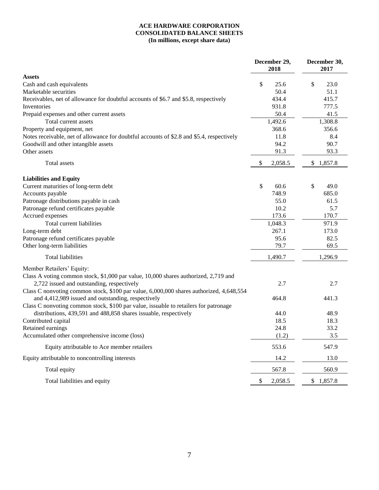#### **ACE HARDWARE CORPORATION CONSOLIDATED BALANCE SHEETS (In millions, except share data)**

|                                                                                                                                                                                                                                       |    | December 29,<br>2018 |              | December 30,<br>2017 |  |
|---------------------------------------------------------------------------------------------------------------------------------------------------------------------------------------------------------------------------------------|----|----------------------|--------------|----------------------|--|
| <b>Assets</b>                                                                                                                                                                                                                         |    |                      |              |                      |  |
| Cash and cash equivalents                                                                                                                                                                                                             | \$ | 25.6                 | \$           | 23.0                 |  |
| Marketable securities                                                                                                                                                                                                                 |    | 50.4                 |              | 51.1                 |  |
| Receivables, net of allowance for doubtful accounts of \$6.7 and \$5.8, respectively                                                                                                                                                  |    | 434.4                |              | 415.7                |  |
| Inventories                                                                                                                                                                                                                           |    | 931.8                |              | 777.5                |  |
| Prepaid expenses and other current assets                                                                                                                                                                                             |    | 50.4                 |              | 41.5                 |  |
| Total current assets                                                                                                                                                                                                                  |    | 1,492.6              |              | 1,308.8              |  |
| Property and equipment, net                                                                                                                                                                                                           |    | 368.6                |              | 356.6                |  |
| Notes receivable, net of allowance for doubtful accounts of \$2.8 and \$5.4, respectively                                                                                                                                             |    | 11.8                 |              | 8.4                  |  |
| Goodwill and other intangible assets                                                                                                                                                                                                  |    | 94.2                 |              | 90.7                 |  |
| Other assets                                                                                                                                                                                                                          |    | 91.3                 |              | 93.3                 |  |
| Total assets                                                                                                                                                                                                                          | \$ | 2,058.5              | $\mathbb{S}$ | 1,857.8              |  |
| <b>Liabilities and Equity</b>                                                                                                                                                                                                         |    |                      |              |                      |  |
| Current maturities of long-term debt                                                                                                                                                                                                  | \$ | 60.6                 | \$           | 49.0                 |  |
| Accounts payable                                                                                                                                                                                                                      |    | 748.9                |              | 685.0                |  |
| Patronage distributions payable in cash                                                                                                                                                                                               |    | 55.0                 |              | 61.5                 |  |
| Patronage refund certificates payable                                                                                                                                                                                                 |    | 10.2                 |              | 5.7                  |  |
| Accrued expenses                                                                                                                                                                                                                      |    | 173.6                |              | 170.7                |  |
| Total current liabilities                                                                                                                                                                                                             |    | 1,048.3              |              | 971.9                |  |
| Long-term debt                                                                                                                                                                                                                        |    | 267.1                |              | 173.0                |  |
| Patronage refund certificates payable                                                                                                                                                                                                 |    | 95.6                 |              | 82.5                 |  |
| Other long-term liabilities                                                                                                                                                                                                           |    | 79.7                 |              | 69.5                 |  |
| <b>Total liabilities</b>                                                                                                                                                                                                              |    | 1,490.7              |              | 1,296.9              |  |
| Member Retailers' Equity:                                                                                                                                                                                                             |    |                      |              |                      |  |
| Class A voting common stock, \$1,000 par value, 10,000 shares authorized, 2,719 and<br>2,722 issued and outstanding, respectively                                                                                                     |    | 2.7                  |              | 2.7                  |  |
| Class C nonvoting common stock, \$100 par value, 6,000,000 shares authorized, 4,648,554<br>and 4,412,989 issued and outstanding, respectively<br>Class C nonvoting common stock, \$100 par value, issuable to retailers for patronage |    | 464.8                |              | 441.3                |  |
| distributions, 439,591 and 488,858 shares issuable, respectively                                                                                                                                                                      |    | 44.0                 |              | 48.9                 |  |
| Contributed capital                                                                                                                                                                                                                   |    | 18.5                 |              | 18.3                 |  |
| Retained earnings                                                                                                                                                                                                                     |    | 24.8                 |              | 33.2                 |  |
| Accumulated other comprehensive income (loss)                                                                                                                                                                                         |    | (1.2)                |              | 3.5                  |  |
| Equity attributable to Ace member retailers                                                                                                                                                                                           |    | 553.6                |              | 547.9                |  |
| Equity attributable to noncontrolling interests                                                                                                                                                                                       |    | 14.2                 |              | 13.0                 |  |
| Total equity                                                                                                                                                                                                                          |    | 567.8                |              | 560.9                |  |
| Total liabilities and equity                                                                                                                                                                                                          | \$ | 2,058.5              |              | \$1,857.8            |  |